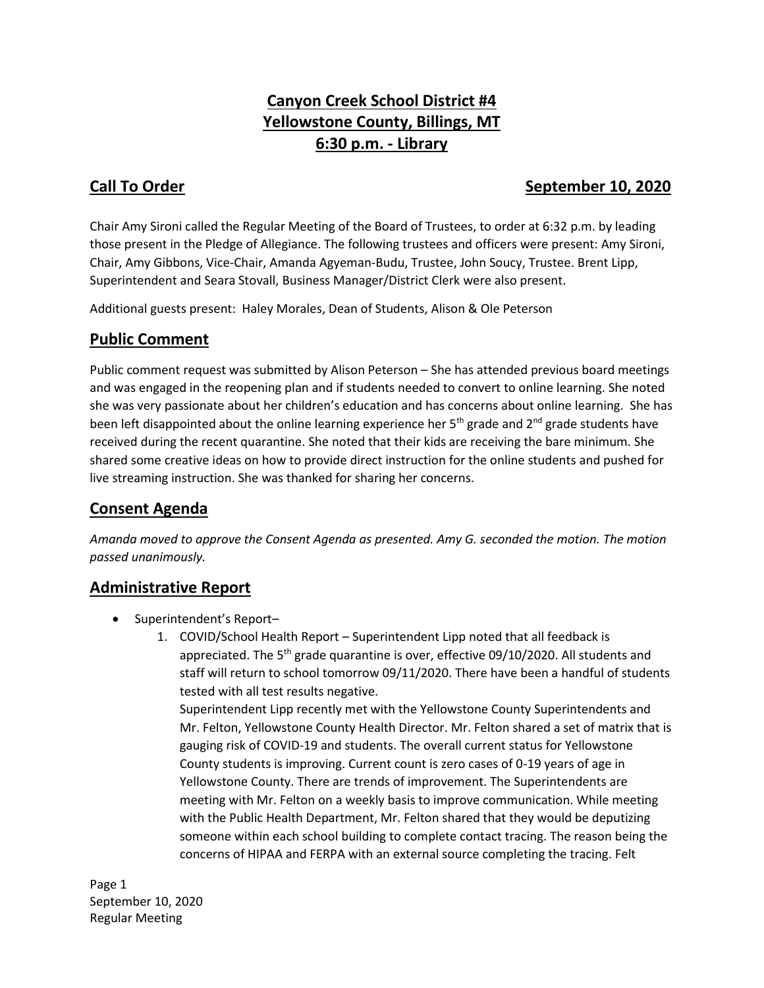# **Canyon Creek School District #4 Yellowstone County, Billings, MT 6:30 p.m. - Library**

# **Call To Order September 10, 2020**

Chair Amy Sironi called the Regular Meeting of the Board of Trustees, to order at 6:32 p.m. by leading those present in the Pledge of Allegiance. The following trustees and officers were present: Amy Sironi, Chair, Amy Gibbons, Vice-Chair, Amanda Agyeman-Budu, Trustee, John Soucy, Trustee. Brent Lipp, Superintendent and Seara Stovall, Business Manager/District Clerk were also present.

Additional guests present: Haley Morales, Dean of Students, Alison & Ole Peterson

### **Public Comment**

Public comment request was submitted by Alison Peterson – She has attended previous board meetings and was engaged in the reopening plan and if students needed to convert to online learning. She noted she was very passionate about her children's education and has concerns about online learning. She has been left disappointed about the online learning experience her  $5<sup>th</sup>$  grade and  $2<sup>nd</sup>$  grade students have received during the recent quarantine. She noted that their kids are receiving the bare minimum. She shared some creative ideas on how to provide direct instruction for the online students and pushed for live streaming instruction. She was thanked for sharing her concerns.

## **Consent Agenda**

*Amanda moved to approve the Consent Agenda as presented. Amy G. seconded the motion. The motion passed unanimously.* 

#### **Administrative Report**

- Superintendent's Report-
	- 1. COVID/School Health Report Superintendent Lipp noted that all feedback is appreciated. The  $5<sup>th</sup>$  grade quarantine is over, effective 09/10/2020. All students and staff will return to school tomorrow 09/11/2020. There have been a handful of students tested with all test results negative.

Superintendent Lipp recently met with the Yellowstone County Superintendents and Mr. Felton, Yellowstone County Health Director. Mr. Felton shared a set of matrix that is gauging risk of COVID-19 and students. The overall current status for Yellowstone County students is improving. Current count is zero cases of 0-19 years of age in Yellowstone County. There are trends of improvement. The Superintendents are meeting with Mr. Felton on a weekly basis to improve communication. While meeting with the Public Health Department, Mr. Felton shared that they would be deputizing someone within each school building to complete contact tracing. The reason being the concerns of HIPAA and FERPA with an external source completing the tracing. Felt

Page 1 September 10, 2020 Regular Meeting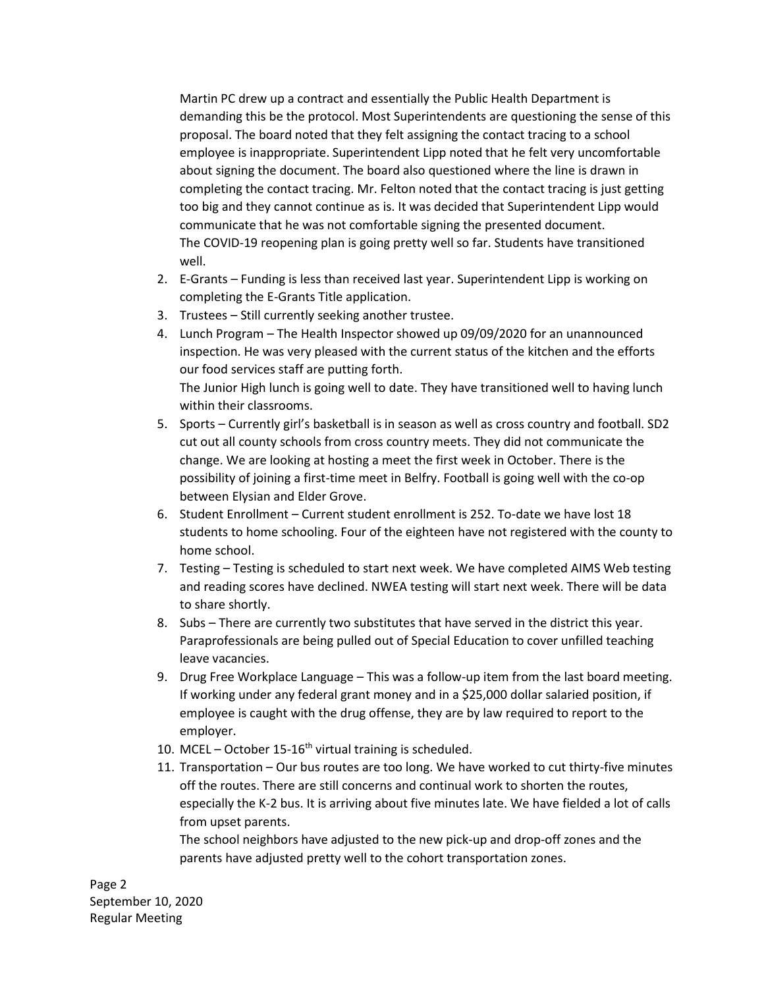Martin PC drew up a contract and essentially the Public Health Department is demanding this be the protocol. Most Superintendents are questioning the sense of this proposal. The board noted that they felt assigning the contact tracing to a school employee is inappropriate. Superintendent Lipp noted that he felt very uncomfortable about signing the document. The board also questioned where the line is drawn in completing the contact tracing. Mr. Felton noted that the contact tracing is just getting too big and they cannot continue as is. It was decided that Superintendent Lipp would communicate that he was not comfortable signing the presented document. The COVID-19 reopening plan is going pretty well so far. Students have transitioned well.

- 2. E-Grants Funding is less than received last year. Superintendent Lipp is working on completing the E-Grants Title application.
- 3. Trustees Still currently seeking another trustee.
- 4. Lunch Program The Health Inspector showed up 09/09/2020 for an unannounced inspection. He was very pleased with the current status of the kitchen and the efforts our food services staff are putting forth. The Junior High lunch is going well to date. They have transitioned well to having lunch within their classrooms.
- 5. Sports Currently girl's basketball is in season as well as cross country and football. SD2 cut out all county schools from cross country meets. They did not communicate the change. We are looking at hosting a meet the first week in October. There is the possibility of joining a first-time meet in Belfry. Football is going well with the co-op between Elysian and Elder Grove.
- 6. Student Enrollment Current student enrollment is 252. To-date we have lost 18 students to home schooling. Four of the eighteen have not registered with the county to home school.
- 7. Testing Testing is scheduled to start next week. We have completed AIMS Web testing and reading scores have declined. NWEA testing will start next week. There will be data to share shortly.
- 8. Subs There are currently two substitutes that have served in the district this year. Paraprofessionals are being pulled out of Special Education to cover unfilled teaching leave vacancies.
- 9. Drug Free Workplace Language This was a follow-up item from the last board meeting. If working under any federal grant money and in a \$25,000 dollar salaried position, if employee is caught with the drug offense, they are by law required to report to the employer.
- 10. MCEL October 15-16<sup>th</sup> virtual training is scheduled.
- 11. Transportation Our bus routes are too long. We have worked to cut thirty-five minutes off the routes. There are still concerns and continual work to shorten the routes, especially the K-2 bus. It is arriving about five minutes late. We have fielded a lot of calls from upset parents.

The school neighbors have adjusted to the new pick-up and drop-off zones and the parents have adjusted pretty well to the cohort transportation zones.

Page 2 September 10, 2020 Regular Meeting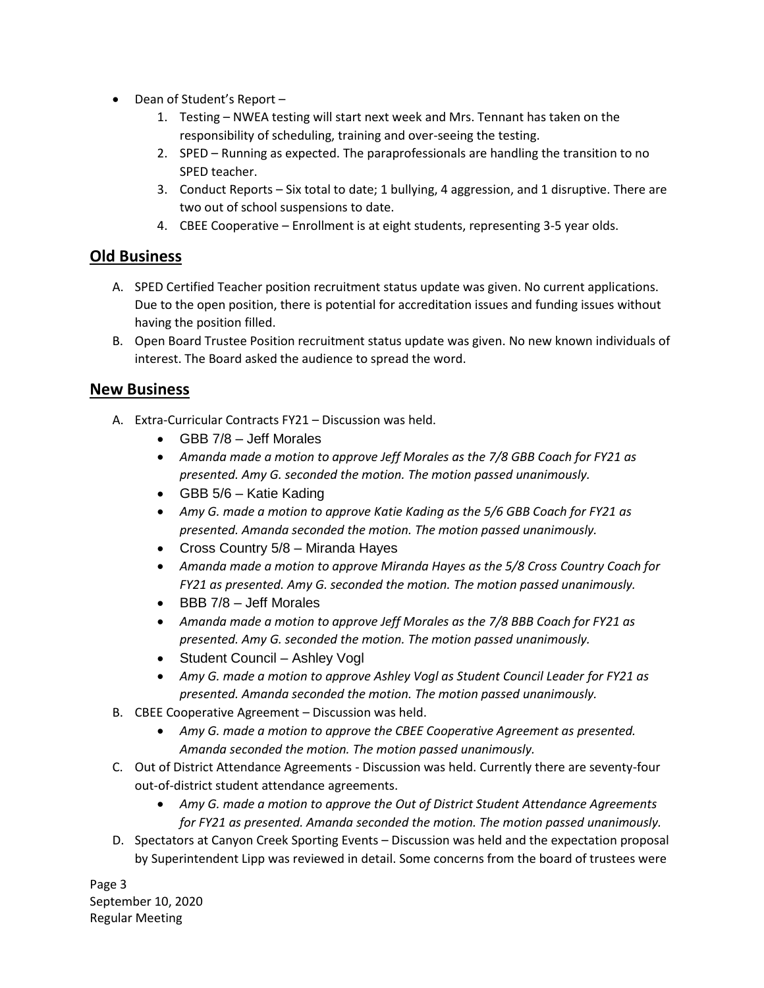- Dean of Student's Report -
	- 1. Testing NWEA testing will start next week and Mrs. Tennant has taken on the responsibility of scheduling, training and over-seeing the testing.
	- 2. SPED Running as expected. The paraprofessionals are handling the transition to no SPED teacher.
	- 3. Conduct Reports Six total to date; 1 bullying, 4 aggression, and 1 disruptive. There are two out of school suspensions to date.
	- 4. CBEE Cooperative Enrollment is at eight students, representing 3-5 year olds.

### **Old Business**

- A. SPED Certified Teacher position recruitment status update was given. No current applications. Due to the open position, there is potential for accreditation issues and funding issues without having the position filled.
- B. Open Board Trustee Position recruitment status update was given. No new known individuals of interest. The Board asked the audience to spread the word.

#### **New Business**

- A. Extra-Curricular Contracts FY21 Discussion was held.
	- GBB 7/8 Jeff Morales
	- *Amanda made a motion to approve Jeff Morales as the 7/8 GBB Coach for FY21 as presented. Amy G. seconded the motion. The motion passed unanimously.*
	- GBB 5/6 Katie Kading
	- *Amy G. made a motion to approve Katie Kading as the 5/6 GBB Coach for FY21 as presented. Amanda seconded the motion. The motion passed unanimously.*
	- Cross Country 5/8 Miranda Hayes
	- *Amanda made a motion to approve Miranda Hayes as the 5/8 Cross Country Coach for FY21 as presented. Amy G. seconded the motion. The motion passed unanimously.*
	- $\bullet$  BBB 7/8 Jeff Morales
	- *Amanda made a motion to approve Jeff Morales as the 7/8 BBB Coach for FY21 as presented. Amy G. seconded the motion. The motion passed unanimously.*
	- Student Council Ashley Vogl
	- *Amy G. made a motion to approve Ashley Vogl as Student Council Leader for FY21 as presented. Amanda seconded the motion. The motion passed unanimously.*
- B. CBEE Cooperative Agreement Discussion was held.
	- *Amy G. made a motion to approve the CBEE Cooperative Agreement as presented. Amanda seconded the motion. The motion passed unanimously.*
- C. Out of District Attendance Agreements Discussion was held. Currently there are seventy-four out-of-district student attendance agreements.
	- *Amy G. made a motion to approve the Out of District Student Attendance Agreements for FY21 as presented. Amanda seconded the motion. The motion passed unanimously.*
- D. Spectators at Canyon Creek Sporting Events Discussion was held and the expectation proposal by Superintendent Lipp was reviewed in detail. Some concerns from the board of trustees were

Page 3 September 10, 2020 Regular Meeting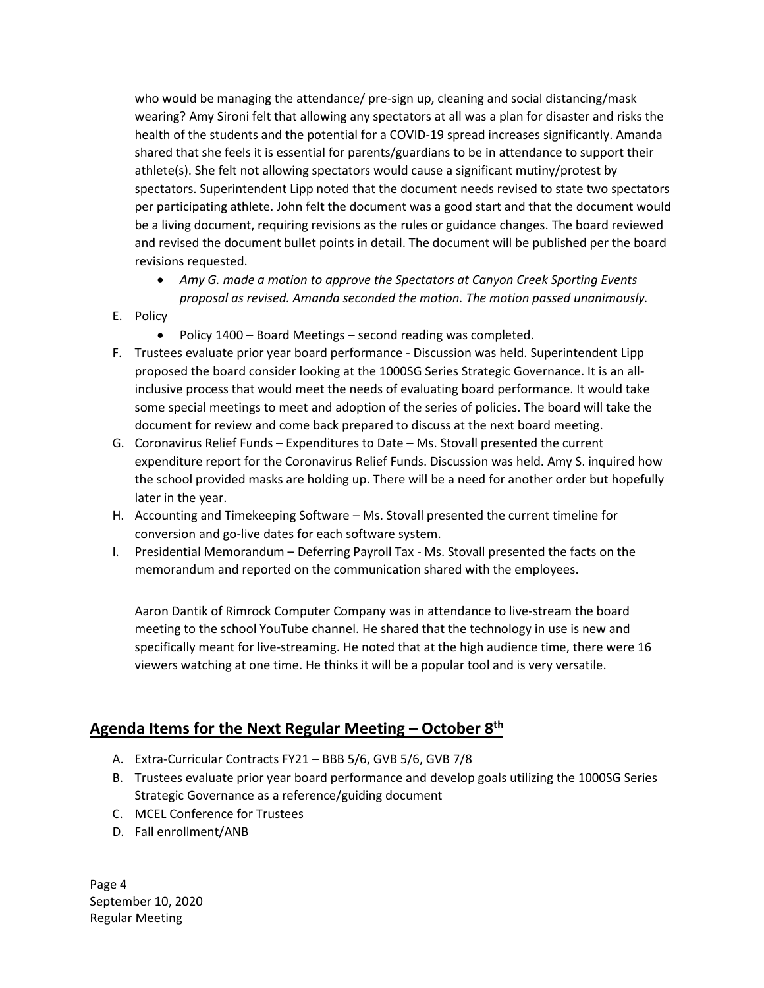who would be managing the attendance/ pre-sign up, cleaning and social distancing/mask wearing? Amy Sironi felt that allowing any spectators at all was a plan for disaster and risks the health of the students and the potential for a COVID-19 spread increases significantly. Amanda shared that she feels it is essential for parents/guardians to be in attendance to support their athlete(s). She felt not allowing spectators would cause a significant mutiny/protest by spectators. Superintendent Lipp noted that the document needs revised to state two spectators per participating athlete. John felt the document was a good start and that the document would be a living document, requiring revisions as the rules or guidance changes. The board reviewed and revised the document bullet points in detail. The document will be published per the board revisions requested.

- *Amy G. made a motion to approve the Spectators at Canyon Creek Sporting Events proposal as revised. Amanda seconded the motion. The motion passed unanimously.*
- E. Policy
	- Policy 1400 Board Meetings second reading was completed.
- F. Trustees evaluate prior year board performance Discussion was held. Superintendent Lipp proposed the board consider looking at the 1000SG Series Strategic Governance. It is an allinclusive process that would meet the needs of evaluating board performance. It would take some special meetings to meet and adoption of the series of policies. The board will take the document for review and come back prepared to discuss at the next board meeting.
- G. Coronavirus Relief Funds Expenditures to Date Ms. Stovall presented the current expenditure report for the Coronavirus Relief Funds. Discussion was held. Amy S. inquired how the school provided masks are holding up. There will be a need for another order but hopefully later in the year.
- H. Accounting and Timekeeping Software Ms. Stovall presented the current timeline for conversion and go-live dates for each software system.
- I. Presidential Memorandum Deferring Payroll Tax Ms. Stovall presented the facts on the memorandum and reported on the communication shared with the employees.

Aaron Dantik of Rimrock Computer Company was in attendance to live-stream the board meeting to the school YouTube channel. He shared that the technology in use is new and specifically meant for live-streaming. He noted that at the high audience time, there were 16 viewers watching at one time. He thinks it will be a popular tool and is very versatile.

#### **Agenda Items for the Next Regular Meeting – October 8th**

- A. Extra-Curricular Contracts FY21 BBB 5/6, GVB 5/6, GVB 7/8
- B. Trustees evaluate prior year board performance and develop goals utilizing the 1000SG Series Strategic Governance as a reference/guiding document
- C. MCEL Conference for Trustees
- D. Fall enrollment/ANB

Page 4 September 10, 2020 Regular Meeting